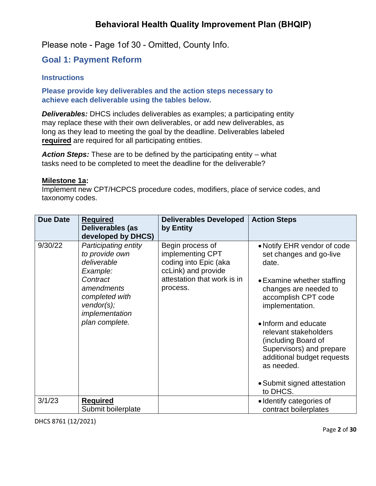# **Behavioral Health Quality Improvement Plan (BHQIP)**

Please note - Page 1of 30 - Omitted, County Info.

## **Goal 1: Payment Reform**

#### **Instructions**

**Please provide key deliverables and the action steps necessary to achieve each deliverable using the tables below.**

*Deliverables:* DHCS includes deliverables as examples; a participating entity may replace these with their own deliverables, or add new deliverables, as long as they lead to meeting the goal by the deadline. Deliverables labeled **required** are required for all participating entities.

*Action Steps:* These are to be defined by the participating entity – what tasks need to be completed to meet the deadline for the deliverable?

#### **Milestone 1a:**

Implement new CPT/HCPCS procedure codes, modifiers, place of service codes, and taxonomy codes.

| <b>Due Date</b> | <b>Required</b>                                                                                                                                                 | <b>Deliverables Developed</b>                                                                                                   | <b>Action Steps</b>                                                                                                                                                                                                                                                                                              |
|-----------------|-----------------------------------------------------------------------------------------------------------------------------------------------------------------|---------------------------------------------------------------------------------------------------------------------------------|------------------------------------------------------------------------------------------------------------------------------------------------------------------------------------------------------------------------------------------------------------------------------------------------------------------|
|                 | Deliverables (as<br>developed by DHCS)                                                                                                                          | by Entity                                                                                                                       |                                                                                                                                                                                                                                                                                                                  |
| 9/30/22         | Participating entity<br>to provide own<br>deliverable<br>Example:<br>Contract<br>amendments<br>completed with<br>vendor(s);<br>implementation<br>plan complete. | Begin process of<br>implementing CPT<br>coding into Epic (aka<br>ccLink) and provide<br>attestation that work is in<br>process. | . Notify EHR vendor of code<br>set changes and go-live<br>date.<br>• Examine whether staffing<br>changes are needed to<br>accomplish CPT code<br>implementation.<br>• Inform and educate<br>relevant stakeholders<br>(including Board of<br>Supervisors) and prepare<br>additional budget requests<br>as needed. |
|                 |                                                                                                                                                                 |                                                                                                                                 | • Submit signed attestation<br>to DHCS.                                                                                                                                                                                                                                                                          |
| 3/1/23          | <b>Required</b><br>Submit boilerplate                                                                                                                           |                                                                                                                                 | • Identify categories of<br>contract boilerplates                                                                                                                                                                                                                                                                |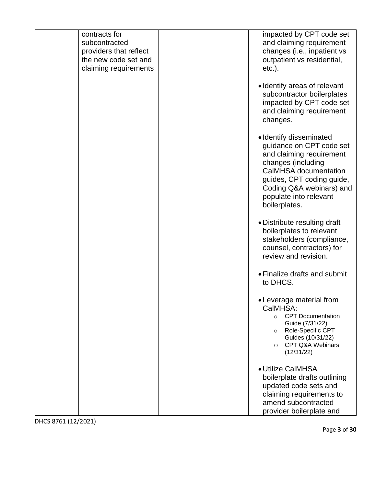| contracts for<br>subcontracted<br>providers that reflect<br>the new code set and<br>claiming requirements | impacted by CPT code set<br>and claiming requirement<br>changes (i.e., inpatient vs<br>outpatient vs residential,<br>$etc.$ ).                                                                                                     |
|-----------------------------------------------------------------------------------------------------------|------------------------------------------------------------------------------------------------------------------------------------------------------------------------------------------------------------------------------------|
|                                                                                                           | • Identify areas of relevant<br>subcontractor boilerplates<br>impacted by CPT code set<br>and claiming requirement<br>changes.                                                                                                     |
|                                                                                                           | • Identify disseminated<br>guidance on CPT code set<br>and claiming requirement<br>changes (including<br>CalMHSA documentation<br>guides, CPT coding guide,<br>Coding Q&A webinars) and<br>populate into relevant<br>boilerplates. |
|                                                                                                           | • Distribute resulting draft<br>boilerplates to relevant<br>stakeholders (compliance,<br>counsel, contractors) for<br>review and revision.                                                                                         |
|                                                                                                           | • Finalize drafts and submit<br>to DHCS.                                                                                                                                                                                           |
|                                                                                                           | • Leverage material from<br>CalMHSA:<br><b>CPT</b> Documentation<br>$\circ$<br>Guide (7/31/22)<br>Role-Specific CPT<br>$\circ$<br>Guides (10/31/22)<br>O CPT Q&A Webinars<br>(12/31/22)                                            |
|                                                                                                           | • Utilize CalMHSA<br>boilerplate drafts outlining<br>updated code sets and<br>claiming requirements to<br>amend subcontracted<br>provider boilerplate and                                                                          |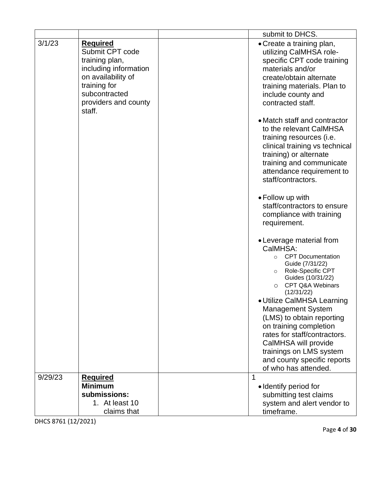|         |                                                                                                                                                                        | submit to DHCS.                                                                                                                                                                                                                                                                                                                                                                                                                             |
|---------|------------------------------------------------------------------------------------------------------------------------------------------------------------------------|---------------------------------------------------------------------------------------------------------------------------------------------------------------------------------------------------------------------------------------------------------------------------------------------------------------------------------------------------------------------------------------------------------------------------------------------|
| 3/1/23  | <u>Required</u><br>Submit CPT code<br>training plan,<br>including information<br>on availability of<br>training for<br>subcontracted<br>providers and county<br>staff. | • Create a training plan,<br>utilizing CalMHSA role-<br>specific CPT code training<br>materials and/or<br>create/obtain alternate<br>training materials. Plan to<br>include county and<br>contracted staff.                                                                                                                                                                                                                                 |
|         |                                                                                                                                                                        | • Match staff and contractor<br>to the relevant CalMHSA<br>training resources (i.e.<br>clinical training vs technical<br>training) or alternate<br>training and communicate<br>attendance requirement to<br>staff/contractors.                                                                                                                                                                                                              |
|         |                                                                                                                                                                        | • Follow up with<br>staff/contractors to ensure<br>compliance with training<br>requirement.                                                                                                                                                                                                                                                                                                                                                 |
|         |                                                                                                                                                                        | • Leverage material from<br>CalMHSA:<br>○ CPT Documentation<br>Guide (7/31/22)<br>Role-Specific CPT<br>$\circ$<br>Guides (10/31/22)<br>CPT Q&A Webinars<br>$\circ$<br>(12/31/22)<br>• Utilize CalMHSA Learning<br><b>Management System</b><br>(LMS) to obtain reporting<br>on training completion<br>rates for staff/contractors.<br>CalMHSA will provide<br>trainings on LMS system<br>and county specific reports<br>of who has attended. |
| 9/29/23 | <b>Required</b><br><b>Minimum</b><br>submissions:<br>1. At least 10                                                                                                    | 1<br>• Identify period for<br>submitting test claims<br>system and alert vendor to                                                                                                                                                                                                                                                                                                                                                          |
|         | claims that                                                                                                                                                            | timeframe.                                                                                                                                                                                                                                                                                                                                                                                                                                  |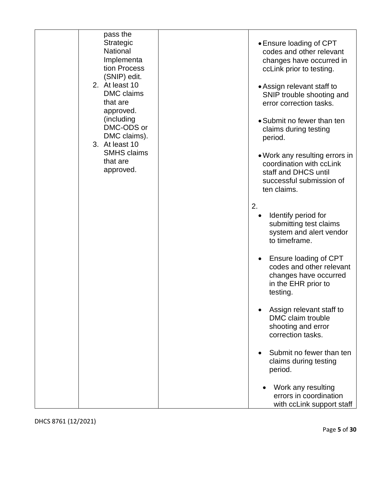| pass the<br>Strategic<br>National<br>Implementa<br>tion Process<br>(SNIP) edit.<br>2. At least 10<br><b>DMC</b> claims<br>that are<br>approved.<br>(including<br>DMC-ODS or<br>DMC claims).<br>3. At least 10 | • Ensure loading of CPT<br>codes and other relevant<br>changes have occurred in<br>ccLink prior to testing.<br>• Assign relevant staff to<br>SNIP trouble shooting and<br>error correction tasks.<br>• Submit no fewer than ten<br>claims during testing<br>period.                                                                                            |
|---------------------------------------------------------------------------------------------------------------------------------------------------------------------------------------------------------------|----------------------------------------------------------------------------------------------------------------------------------------------------------------------------------------------------------------------------------------------------------------------------------------------------------------------------------------------------------------|
| <b>SMHS</b> claims<br>that are<br>approved.                                                                                                                                                                   | • Work any resulting errors in<br>coordination with ccLink<br>staff and DHCS until<br>successful submission of<br>ten claims.<br>2.<br>Identify period for<br>submitting test claims<br>system and alert vendor<br>to timeframe.<br>Ensure loading of CPT<br>$\bullet$<br>codes and other relevant<br>changes have occurred<br>in the EHR prior to<br>testing. |
|                                                                                                                                                                                                               | Assign relevant staff to<br>DMC claim trouble<br>shooting and error<br>correction tasks.<br>Submit no fewer than ten<br>$\bullet$<br>claims during testing<br>period.<br>Work any resulting<br>errors in coordination                                                                                                                                          |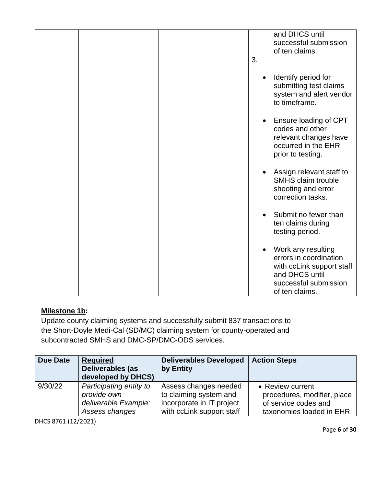|  |           | and DHCS until<br>successful submission<br>of ten claims.                                                                              |
|--|-----------|----------------------------------------------------------------------------------------------------------------------------------------|
|  | 3.        |                                                                                                                                        |
|  |           | Identify period for<br>submitting test claims<br>system and alert vendor<br>to timeframe.                                              |
|  | $\bullet$ | Ensure loading of CPT<br>codes and other<br>relevant changes have<br>occurred in the EHR<br>prior to testing.                          |
|  | $\bullet$ | Assign relevant staff to<br><b>SMHS</b> claim trouble<br>shooting and error<br>correction tasks.                                       |
|  | $\bullet$ | Submit no fewer than<br>ten claims during<br>testing period.                                                                           |
|  | $\bullet$ | Work any resulting<br>errors in coordination<br>with ccLink support staff<br>and DHCS until<br>successful submission<br>of ten claims. |

## **Milestone 1b:**

Update county claiming systems and successfully submit 837 transactions to the Short-Doyle Medi-Cal (SD/MC) claiming system for county-operated and subcontracted SMHS and DMC-SP/DMC-ODS services.

| <b>Due Date</b> | <b>Required</b><br>Deliverables (as<br>developed by DHCS) | <b>Deliverables Developed</b><br>by Entity | <b>Action Steps</b>         |
|-----------------|-----------------------------------------------------------|--------------------------------------------|-----------------------------|
| 9/30/22         | Participating entity to                                   | Assess changes needed                      | • Review current            |
|                 | provide own                                               | to claiming system and                     | procedures, modifier, place |
|                 | deliverable Example:                                      | incorporate in IT project                  | of service codes and        |
|                 | Assess changes                                            | with ccLink support staff                  | taxonomies loaded in EHR    |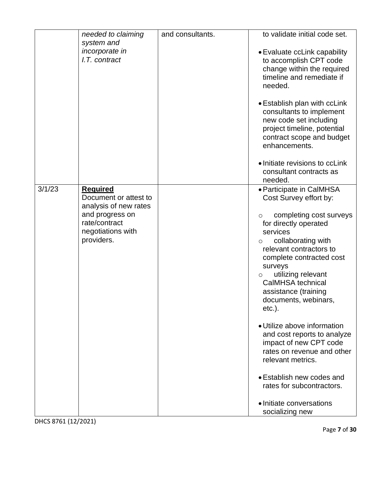|        | needed to claiming<br>system and                                    | and consultants. | to validate initial code set.                                                                                                                                                                                                                                                           |
|--------|---------------------------------------------------------------------|------------------|-----------------------------------------------------------------------------------------------------------------------------------------------------------------------------------------------------------------------------------------------------------------------------------------|
|        | <i>incorporate in</i><br>I.T. contract                              |                  | • Evaluate ccLink capability<br>to accomplish CPT code<br>change within the required<br>timeline and remediate if<br>needed.                                                                                                                                                            |
|        |                                                                     |                  | • Establish plan with ccLink<br>consultants to implement<br>new code set including<br>project timeline, potential<br>contract scope and budget<br>enhancements.                                                                                                                         |
|        |                                                                     |                  | • Initiate revisions to ccLink<br>consultant contracts as<br>needed.                                                                                                                                                                                                                    |
| 3/1/23 | <b>Required</b><br>Document or attest to<br>analysis of new rates   |                  | • Participate in CalMHSA<br>Cost Survey effort by:                                                                                                                                                                                                                                      |
|        | and progress on<br>rate/contract<br>negotiations with<br>providers. |                  | completing cost surveys<br>O<br>for directly operated<br>services<br>collaborating with<br>$\circ$<br>relevant contractors to<br>complete contracted cost<br>surveys<br>utilizing relevant<br>$\circ$<br>CalMHSA technical<br>assistance (training<br>documents, webinars,<br>$etc.$ ). |
|        |                                                                     |                  | • Utilize above information<br>and cost reports to analyze<br>impact of new CPT code<br>rates on revenue and other<br>relevant metrics.                                                                                                                                                 |
|        |                                                                     |                  | • Establish new codes and<br>rates for subcontractors.                                                                                                                                                                                                                                  |
|        |                                                                     |                  | • Initiate conversations<br>socializing new                                                                                                                                                                                                                                             |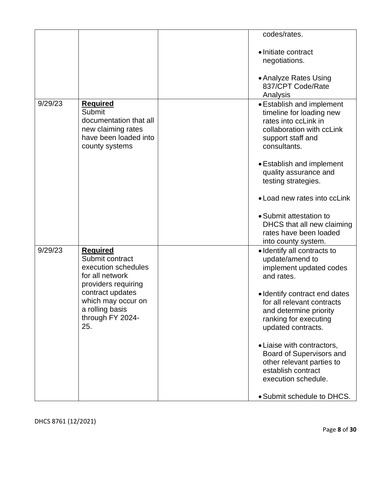|         |                        | codes/rates.                  |
|---------|------------------------|-------------------------------|
|         |                        |                               |
|         |                        | • Initiate contract           |
|         |                        | negotiations.                 |
|         |                        | • Analyze Rates Using         |
|         |                        |                               |
|         |                        | 837/CPT Code/Rate             |
|         |                        | Analysis                      |
| 9/29/23 | <b>Required</b>        | • Establish and implement     |
|         | Submit                 | timeline for loading new      |
|         | documentation that all | rates into ccLink in          |
|         | new claiming rates     | collaboration with ccLink     |
|         | have been loaded into  |                               |
|         |                        | support staff and             |
|         | county systems         | consultants.                  |
|         |                        | • Establish and implement     |
|         |                        | quality assurance and         |
|         |                        | testing strategies.           |
|         |                        |                               |
|         |                        | • Load new rates into ccLink  |
|         |                        | • Submit attestation to       |
|         |                        |                               |
|         |                        | DHCS that all new claiming    |
|         |                        | rates have been loaded        |
|         |                        | into county system.           |
| 9/29/23 | <b>Required</b>        | · Identify all contracts to   |
|         | Submit contract        | update/amend to               |
|         | execution schedules    | implement updated codes       |
|         | for all network        | and rates.                    |
|         | providers requiring    |                               |
|         | contract updates       | • Identify contract end dates |
|         | which may occur on     | for all relevant contracts    |
|         | a rolling basis        | and determine priority        |
|         | through FY 2024-       | ranking for executing         |
|         | 25.                    |                               |
|         |                        | updated contracts.            |
|         |                        | • Liaise with contractors,    |
|         |                        | Board of Supervisors and      |
|         |                        | other relevant parties to     |
|         |                        | establish contract            |
|         |                        | execution schedule.           |
|         |                        |                               |
|         |                        | • Submit schedule to DHCS.    |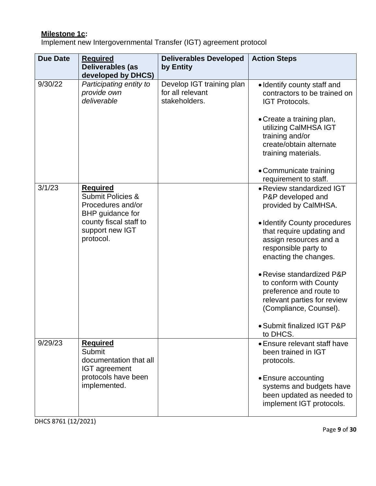### **Milestone 1c:**

Implement new Intergovernmental Transfer (IGT) agreement protocol

| <b>Due Date</b> | <b>Required</b><br>Deliverables (as                                                                                                                | <b>Deliverables Developed</b><br>by Entity                     | <b>Action Steps</b>                                                                                                                                                                                                                                                                                                                                                                               |
|-----------------|----------------------------------------------------------------------------------------------------------------------------------------------------|----------------------------------------------------------------|---------------------------------------------------------------------------------------------------------------------------------------------------------------------------------------------------------------------------------------------------------------------------------------------------------------------------------------------------------------------------------------------------|
|                 | developed by DHCS)                                                                                                                                 |                                                                |                                                                                                                                                                                                                                                                                                                                                                                                   |
| 9/30/22         | Participating entity to<br>provide own<br>deliverable                                                                                              | Develop IGT training plan<br>for all relevant<br>stakeholders. | • Identify county staff and<br>contractors to be trained on<br><b>IGT Protocols.</b><br>• Create a training plan,<br>utilizing CalMHSA IGT<br>training and/or<br>create/obtain alternate<br>training materials.<br>• Communicate training                                                                                                                                                         |
|                 |                                                                                                                                                    |                                                                | requirement to staff.                                                                                                                                                                                                                                                                                                                                                                             |
| 3/1/23          | <b>Required</b><br><b>Submit Policies &amp;</b><br>Procedures and/or<br>BHP guidance for<br>county fiscal staff to<br>support new IGT<br>protocol. |                                                                | • Review standardized IGT<br>P&P developed and<br>provided by CalMHSA.<br>• Identify County procedures<br>that require updating and<br>assign resources and a<br>responsible party to<br>enacting the changes.<br>• Revise standardized P&P<br>to conform with County<br>preference and route to<br>relevant parties for review<br>(Compliance, Counsel).<br>Submit finalized IGT P&P<br>to DHCS. |
| 9/29/23         | <b>Required</b><br>Submit<br>documentation that all<br>IGT agreement<br>protocols have been<br>implemented.                                        |                                                                | • Ensure relevant staff have<br>been trained in IGT<br>protocols.<br>• Ensure accounting<br>systems and budgets have<br>been updated as needed to<br>implement IGT protocols.                                                                                                                                                                                                                     |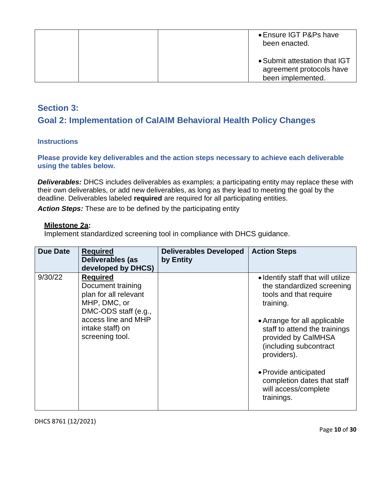|  | • Ensure IGT P&Ps have<br>been enacted.                                        |
|--|--------------------------------------------------------------------------------|
|  | • Submit attestation that IGT<br>agreement protocols have<br>been implemented. |

## **Section 3:**

# **Goal 2: Implementation of CalAIM Behavioral Health Policy Changes**

#### **Instructions**

**Please provide key deliverables and the action steps necessary to achieve each deliverable using the tables below.** 

*Deliverables:* DHCS includes deliverables as examples; a participating entity may replace these with their own deliverables, or add new deliverables, as long as they lead to meeting the goal by the deadline. Deliverables labeled **required** are required for all participating entities.

*Action Steps:* These are to be defined by the participating entity

#### **Milestone 2a:**

Implement standardized screening tool in compliance with DHCS guidance.

| <b>Due Date</b> | <b>Required</b><br>Deliverables (as<br>developed by DHCS)                                                                                                           | <b>Deliverables Developed</b><br>by Entity | <b>Action Steps</b>                                                                                                                                                                                                                                                                                                                    |
|-----------------|---------------------------------------------------------------------------------------------------------------------------------------------------------------------|--------------------------------------------|----------------------------------------------------------------------------------------------------------------------------------------------------------------------------------------------------------------------------------------------------------------------------------------------------------------------------------------|
| 9/30/22         | <b>Required</b><br>Document training<br>plan for all relevant<br>MHP, DMC, or<br>DMC-ODS staff (e.g.,<br>access line and MHP<br>intake staff) on<br>screening tool. |                                            | • Identify staff that will utilize<br>the standardized screening<br>tools and that require<br>training.<br>• Arrange for all applicable<br>staff to attend the trainings<br>provided by CalMHSA<br>(including subcontract<br>providers).<br>• Provide anticipated<br>completion dates that staff<br>will access/complete<br>trainings. |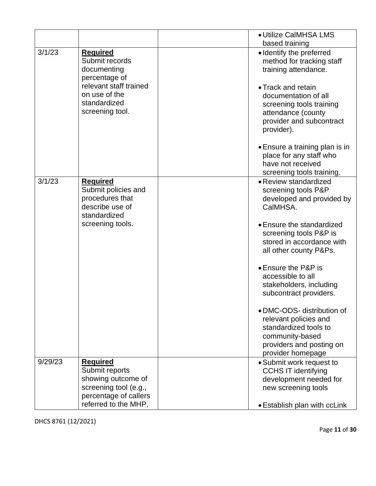|         |                                                                                                           | • Utilize CalMHSA LMS<br>based training                                                                                                          |
|---------|-----------------------------------------------------------------------------------------------------------|--------------------------------------------------------------------------------------------------------------------------------------------------|
| 3/1/23  | <b>Required</b><br>Submit records<br>documenting<br>percentage of                                         | • Identify the preferred<br>method for tracking staff<br>training attendance.                                                                    |
|         | relevant staff trained<br>on use of the<br>standardized<br>screening tool.                                | • Track and retain<br>documentation of all<br>screening tools training<br>attendance (county<br>provider and subcontract<br>provider).           |
|         |                                                                                                           | • Ensure a training plan is in<br>place for any staff who<br>have not received<br>screening tools training.                                      |
| 3/1/23  | <b>Required</b><br>Submit policies and<br>procedures that<br>describe use of<br>standardized              | • Review standardized<br>screening tools P&P<br>developed and provided by<br>CalMHSA.                                                            |
|         | screening tools.                                                                                          | • Ensure the standardized<br>screening tools P&P is<br>stored in accordance with<br>all other county P&Ps.                                       |
|         |                                                                                                           | • Ensure the P&P is<br>accessible to all<br>stakeholders, including<br>subcontract providers.                                                    |
|         |                                                                                                           | • DMC-ODS- distribution of<br>relevant policies and<br>standardized tools to<br>community-based<br>providers and posting on<br>provider homepage |
| 9/29/23 | <b>Required</b><br>Submit reports<br>showing outcome of<br>screening tool (e.g.,<br>percentage of callers | • Submit work request to<br><b>CCHS IT identifying</b><br>development needed for<br>new screening tools                                          |
|         | referred to the MHP,                                                                                      | • Establish plan with ccLink                                                                                                                     |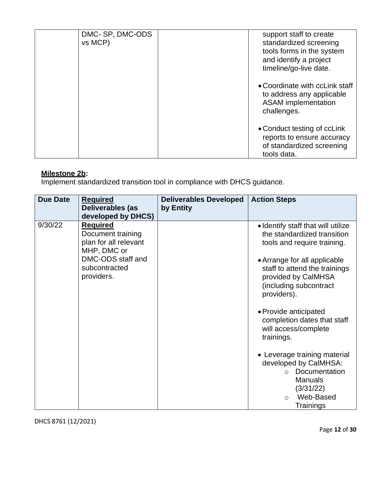| DMC-SP, DMC-ODS<br>vs MCP) | support staff to create<br>standardized screening<br>tools forms in the system<br>and identify a project<br>timeline/go-live date. |
|----------------------------|------------------------------------------------------------------------------------------------------------------------------------|
|                            | • Coordinate with ccLink staff<br>to address any applicable<br><b>ASAM</b> implementation<br>challenges.                           |
|                            | • Conduct testing of ccLink<br>reports to ensure accuracy<br>of standardized screening<br>tools data.                              |

# **Milestone 2b:**

Implement standardized transition tool in compliance with DHCS guidance.

| <b>Due Date</b> | <b>Required</b><br>Deliverables (as<br>developed by DHCS)                    | <b>Deliverables Developed</b><br>by Entity | <b>Action Steps</b>                                                                                                                                  |
|-----------------|------------------------------------------------------------------------------|--------------------------------------------|------------------------------------------------------------------------------------------------------------------------------------------------------|
| 9/30/22         | <b>Required</b><br>Document training<br>plan for all relevant<br>MHP, DMC or |                                            | • Identify staff that will utilize<br>the standardized transition<br>tools and require training.                                                     |
|                 | DMC-ODS staff and<br>subcontracted<br>providers.                             |                                            | • Arrange for all applicable<br>staff to attend the trainings<br>provided by CalMHSA<br>(including subcontract<br>providers).                        |
|                 |                                                                              |                                            | • Provide anticipated<br>completion dates that staff<br>will access/complete<br>trainings.                                                           |
|                 |                                                                              |                                            | • Leverage training material<br>developed by CalMHSA:<br>Documentation<br>$\cap$<br><b>Manuals</b><br>(3/31/22)<br>Web-Based<br>$\circ$<br>Trainings |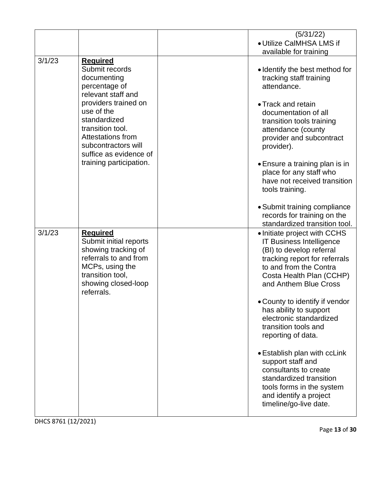|        |                                                                                                                                                                                                                                                                           | (5/31/22)<br>• Utilize CalMHSA LMS if<br>available for training                                                                                                                                                                                                                                                                                                                                                                                                                                                                                                      |
|--------|---------------------------------------------------------------------------------------------------------------------------------------------------------------------------------------------------------------------------------------------------------------------------|----------------------------------------------------------------------------------------------------------------------------------------------------------------------------------------------------------------------------------------------------------------------------------------------------------------------------------------------------------------------------------------------------------------------------------------------------------------------------------------------------------------------------------------------------------------------|
| 3/1/23 | <b>Required</b><br>Submit records<br>documenting<br>percentage of<br>relevant staff and<br>providers trained on<br>use of the<br>standardized<br>transition tool.<br><b>Attestations from</b><br>subcontractors will<br>suffice as evidence of<br>training participation. | • Identify the best method for<br>tracking staff training<br>attendance.<br>• Track and retain<br>documentation of all<br>transition tools training<br>attendance (county<br>provider and subcontract<br>provider).<br>• Ensure a training plan is in<br>place for any staff who<br>have not received transition<br>tools training.<br>• Submit training compliance<br>records for training on the                                                                                                                                                                   |
| 3/1/23 | <b>Required</b><br>Submit initial reports<br>showing tracking of<br>referrals to and from<br>MCPs, using the<br>transition tool,<br>showing closed-loop<br>referrals.                                                                                                     | standardized transition tool.<br>• Initiate project with CCHS<br>IT Business Intelligence<br>(BI) to develop referral<br>tracking report for referrals<br>to and from the Contra<br>Costa Health Plan (CCHP)<br>and Anthem Blue Cross<br>• County to identify if vendor<br>has ability to support<br>electronic standardized<br>transition tools and<br>reporting of data.<br>• Establish plan with ccLink<br>support staff and<br>consultants to create<br>standardized transition<br>tools forms in the system<br>and identify a project<br>timeline/go-live date. |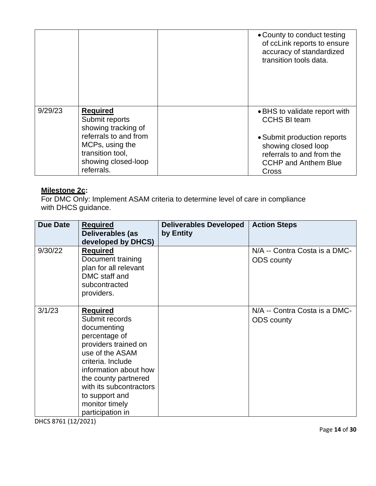|         |                                                                                                                                                 | • County to conduct testing<br>of ccLink reports to ensure<br>accuracy of standardized<br>transition tools data.                        |
|---------|-------------------------------------------------------------------------------------------------------------------------------------------------|-----------------------------------------------------------------------------------------------------------------------------------------|
| 9/29/23 | <b>Required</b><br>Submit reports<br>showing tracking of<br>referrals to and from<br>MCPs, using the<br>transition tool,<br>showing closed-loop | • BHS to validate report with<br><b>CCHS BI team</b><br>• Submit production reports<br>showing closed loop<br>referrals to and from the |
|         | referrals.                                                                                                                                      | <b>CCHP and Anthem Blue</b><br>Cross                                                                                                    |

### **Milestone 2c:**

For DMC Only: Implement ASAM criteria to determine level of care in compliance with DHCS guidance.

| <b>Due Date</b> | <b>Required</b><br>Deliverables (as<br>developed by DHCS)                                                                                                                                                                                                             | <b>Deliverables Developed</b><br>by Entity | <b>Action Steps</b>                                |
|-----------------|-----------------------------------------------------------------------------------------------------------------------------------------------------------------------------------------------------------------------------------------------------------------------|--------------------------------------------|----------------------------------------------------|
| 9/30/22         | <b>Required</b><br>Document training<br>plan for all relevant<br>DMC staff and<br>subcontracted<br>providers.                                                                                                                                                         |                                            | N/A -- Contra Costa is a DMC-<br><b>ODS</b> county |
| 3/1/23          | <b>Required</b><br>Submit records<br>documenting<br>percentage of<br>providers trained on<br>use of the ASAM<br>criteria. Include<br>information about how<br>the county partnered<br>with its subcontractors<br>to support and<br>monitor timely<br>participation in |                                            | N/A -- Contra Costa is a DMC-<br><b>ODS</b> county |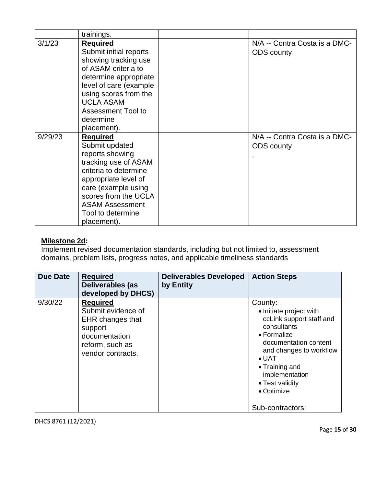|         | trainings.                                                                                                                                                                                                                                        |                                                    |
|---------|---------------------------------------------------------------------------------------------------------------------------------------------------------------------------------------------------------------------------------------------------|----------------------------------------------------|
| 3/1/23  | <b>Required</b><br>Submit initial reports<br>showing tracking use<br>of ASAM criteria to<br>determine appropriate<br>level of care (example<br>using scores from the<br><b>UCLA ASAM</b><br><b>Assessment Tool to</b><br>determine<br>placement). | N/A -- Contra Costa is a DMC-<br><b>ODS</b> county |
| 9/29/23 | <b>Required</b><br>Submit updated<br>reports showing<br>tracking use of ASAM<br>criteria to determine<br>appropriate level of<br>care (example using<br>scores from the UCLA<br><b>ASAM Assessment</b><br>Tool to determine<br>placement).        | N/A -- Contra Costa is a DMC-<br><b>ODS</b> county |

## **Milestone 2d:**

Implement revised documentation standards, including but not limited to, assessment domains, problem lists, progress notes, and applicable timeliness standards

| <b>Due Date</b> | <b>Required</b><br>Deliverables (as<br>developed by DHCS)                                                                            | <b>Deliverables Developed</b><br>by Entity | <b>Action Steps</b>                                                                                                                                                                                                                            |
|-----------------|--------------------------------------------------------------------------------------------------------------------------------------|--------------------------------------------|------------------------------------------------------------------------------------------------------------------------------------------------------------------------------------------------------------------------------------------------|
| 9/30/22         | <b>Required</b><br>Submit evidence of<br><b>EHR</b> changes that<br>support<br>documentation<br>reform, such as<br>vendor contracts. |                                            | County:<br>• Initiate project with<br>ccLink support staff and<br>consultants<br>$\bullet$ Formalize<br>documentation content<br>and changes to workflow<br>$\bullet$ UAT<br>• Training and<br>implementation<br>• Test validity<br>• Optimize |
|                 |                                                                                                                                      |                                            | Sub-contractors:                                                                                                                                                                                                                               |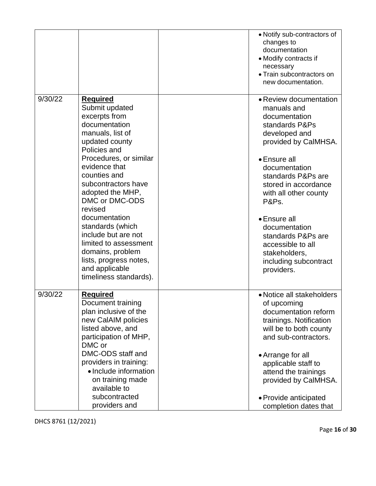|         |                                                                                                                                                                             | • Notify sub-contractors of<br>changes to<br>documentation<br>• Modify contracts if<br>necessary<br>• Train subcontractors on<br>new documentation. |
|---------|-----------------------------------------------------------------------------------------------------------------------------------------------------------------------------|-----------------------------------------------------------------------------------------------------------------------------------------------------|
| 9/30/22 | <b>Required</b><br>Submit updated<br>excerpts from<br>documentation<br>manuals, list of<br>updated county<br>Policies and                                                   | • Review documentation<br>manuals and<br>documentation<br>standards P&Ps<br>developed and<br>provided by CalMHSA.                                   |
|         | Procedures, or similar<br>evidence that<br>counties and<br>subcontractors have<br>adopted the MHP,<br>DMC or DMC-ODS<br>revised                                             | • Ensure all<br>documentation<br>standards P&Ps are<br>stored in accordance<br>with all other county<br>P&Ps.                                       |
|         | documentation<br>standards (which<br>include but are not<br>limited to assessment<br>domains, problem<br>lists, progress notes,<br>and applicable<br>timeliness standards). | • Ensure all<br>documentation<br>standards P&Ps are<br>accessible to all<br>stakeholders,<br>including subcontract<br>providers.                    |
| 9/30/22 | <b>Required</b><br>Document training<br>plan inclusive of the<br>new CalAIM policies<br>listed above, and<br>participation of MHP,<br>DMC or                                | • Notice all stakeholders<br>of upcoming<br>documentation reform<br>trainings. Notification<br>will be to both county<br>and sub-contractors.       |
|         | DMC-ODS staff and<br>providers in training:<br>• Include information<br>on training made<br>available to<br>subcontracted<br>providers and                                  | • Arrange for all<br>applicable staff to<br>attend the trainings<br>provided by CalMHSA.<br>• Provide anticipated<br>completion dates that          |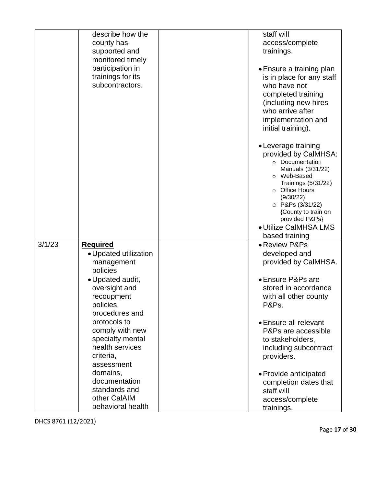|        | describe how the<br>county has                                                                    | staff will<br>access/complete                                                                                                                                                                                                                                      |
|--------|---------------------------------------------------------------------------------------------------|--------------------------------------------------------------------------------------------------------------------------------------------------------------------------------------------------------------------------------------------------------------------|
|        | supported and<br>monitored timely                                                                 | trainings.                                                                                                                                                                                                                                                         |
|        | participation in<br>trainings for its<br>subcontractors.                                          | • Ensure a training plan<br>is in place for any staff<br>who have not<br>completed training<br>(including new hires<br>who arrive after<br>implementation and<br>initial training).                                                                                |
|        |                                                                                                   | • Leverage training<br>provided by CalMHSA:<br>o Documentation<br>Manuals (3/31/22)<br>o Web-Based<br>Trainings (5/31/22)<br>○ Office Hours<br>(9/30/22)<br>$O$ P&Ps (3/31/22)<br>{County to train on<br>provided P&Ps}<br>• Utilize CalMHSA LMS<br>based training |
| 3/1/23 | <b>Required</b><br>• Updated utilization<br>management                                            | • Review P&Ps<br>developed and<br>provided by CalMHSA.                                                                                                                                                                                                             |
|        | policies<br>· Updated audit,<br>oversight and<br>recoupment<br>policies,<br>procedures and        | • Ensure P&Ps are<br>stored in accordance<br>with all other county<br>P&Ps.                                                                                                                                                                                        |
|        | protocols to<br>comply with new<br>specialty mental<br>health services<br>criteria,<br>assessment | • Ensure all relevant<br>P&Ps are accessible<br>to stakeholders,<br>including subcontract<br>providers.                                                                                                                                                            |
|        | domains,<br>documentation<br>standards and<br>other CalAIM<br>behavioral health                   | • Provide anticipated<br>completion dates that<br>staff will<br>access/complete<br>trainings.                                                                                                                                                                      |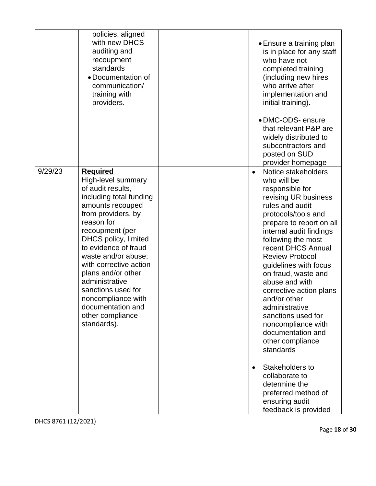|         | policies, aligned<br>with new DHCS<br>auditing and<br>recoupment<br>standards<br>• Documentation of<br>communication/<br>training with<br>providers.                                                                                                                                                                                                                                                          | • Ensure a training plan<br>is in place for any staff<br>who have not<br>completed training<br>(including new hires<br>who arrive after<br>implementation and<br>initial training).<br>• DMC-ODS- ensure<br>that relevant P&P are<br>widely distributed to<br>subcontractors and<br>posted on SUD<br>provider homepage                                                                                                                                                                                                                                                                                                                 |
|---------|---------------------------------------------------------------------------------------------------------------------------------------------------------------------------------------------------------------------------------------------------------------------------------------------------------------------------------------------------------------------------------------------------------------|----------------------------------------------------------------------------------------------------------------------------------------------------------------------------------------------------------------------------------------------------------------------------------------------------------------------------------------------------------------------------------------------------------------------------------------------------------------------------------------------------------------------------------------------------------------------------------------------------------------------------------------|
| 9/29/23 | <b>Required</b><br>High-level summary<br>of audit results,<br>including total funding<br>amounts recouped<br>from providers, by<br>reason for<br>recoupment (per<br>DHCS policy, limited<br>to evidence of fraud<br>waste and/or abuse;<br>with corrective action<br>plans and/or other<br>administrative<br>sanctions used for<br>noncompliance with<br>documentation and<br>other compliance<br>standards). | Notice stakeholders<br>$\bullet$<br>who will be<br>responsible for<br>revising UR business<br>rules and audit<br>protocols/tools and<br>prepare to report on all<br>internal audit findings<br>following the most<br>recent DHCS Annual<br><b>Review Protocol</b><br>guidelines with focus<br>on fraud, waste and<br>abuse and with<br>corrective action plans<br>and/or other<br>administrative<br>sanctions used for<br>noncompliance with<br>documentation and<br>other compliance<br>standards<br>Stakeholders to<br>$\bullet$<br>collaborate to<br>determine the<br>preferred method of<br>ensuring audit<br>feedback is provided |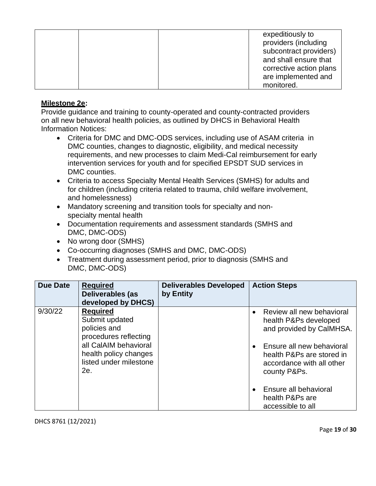|  | expeditiously to        |
|--|-------------------------|
|  | providers (including    |
|  | subcontract providers)  |
|  | and shall ensure that   |
|  | corrective action plans |
|  | are implemented and     |
|  | monitored.              |

### **Milestone 2e:**

Provide guidance and training to county-operated and county-contracted providers on all new behavioral health policies, as outlined by DHCS in Behavioral Health Information Notices:

- Criteria for DMC and DMC-ODS services, including use of ASAM criteria in DMC counties, changes to diagnostic, eligibility, and medical necessity requirements, and new processes to claim Medi-Cal reimbursement for early intervention services for youth and for specified EPSDT SUD services in DMC counties.
- Criteria to access Specialty Mental Health Services (SMHS) for adults and for children (including criteria related to trauma, child welfare involvement, and homelessness)
- Mandatory screening and transition tools for specialty and nonspecialty mental health
- Documentation requirements and assessment standards (SMHS and DMC, DMC-ODS)
- No wrong door (SMHS)
- Co-occurring diagnoses (SMHS and DMC, DMC-ODS)
- Treatment during assessment period, prior to diagnosis (SMHS and DMC, DMC-ODS)

| <b>Due Date</b> | <b>Required</b><br>Deliverables (as<br>developed by DHCS)                                                                                              | <b>Deliverables Developed</b><br>by Entity | <b>Action Steps</b>                                                                                                                                                   |
|-----------------|--------------------------------------------------------------------------------------------------------------------------------------------------------|--------------------------------------------|-----------------------------------------------------------------------------------------------------------------------------------------------------------------------|
| 9/30/22         | <b>Required</b><br>Submit updated<br>policies and<br>procedures reflecting<br>all CalAIM behavioral<br>health policy changes<br>listed under milestone |                                            | Review all new behavioral<br>health P&Ps developed<br>and provided by CalMHSA.<br>Ensure all new behavioral<br>health P&Ps are stored in<br>accordance with all other |
|                 | 2e.                                                                                                                                                    |                                            | county P&Ps.<br>Ensure all behavioral<br>health P&Ps are<br>accessible to all                                                                                         |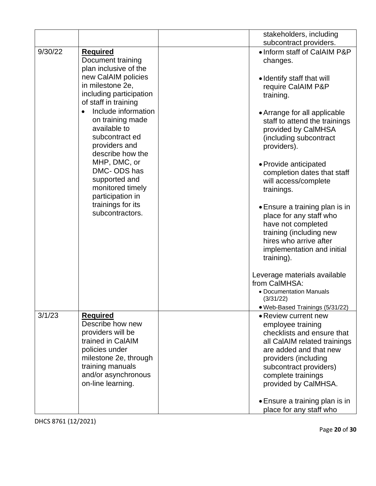|         |                                                                                                                                                                                                                                                                                                                                                                                                                             | stakeholders, including<br>subcontract providers.                                                                                                                                                                                                                                                                                                                                                                                                                                                                                                            |
|---------|-----------------------------------------------------------------------------------------------------------------------------------------------------------------------------------------------------------------------------------------------------------------------------------------------------------------------------------------------------------------------------------------------------------------------------|--------------------------------------------------------------------------------------------------------------------------------------------------------------------------------------------------------------------------------------------------------------------------------------------------------------------------------------------------------------------------------------------------------------------------------------------------------------------------------------------------------------------------------------------------------------|
| 9/30/22 | <b>Required</b><br>Document training<br>plan inclusive of the<br>new CalAIM policies<br>in milestone 2e,<br>including participation<br>of staff in training<br>Include information<br>$\bullet$<br>on training made<br>available to<br>subcontract ed<br>providers and<br>describe how the<br>MHP, DMC, or<br>DMC- ODS has<br>supported and<br>monitored timely<br>participation in<br>trainings for its<br>subcontractors. | • Inform staff of CalAIM P&P<br>changes.<br>• Identify staff that will<br>require CalAIM P&P<br>training.<br>• Arrange for all applicable<br>staff to attend the trainings<br>provided by CalMHSA<br>(including subcontract<br>providers).<br>• Provide anticipated<br>completion dates that staff<br>will access/complete<br>trainings.<br>• Ensure a training plan is in<br>place for any staff who<br>have not completed<br>training (including new<br>hires who arrive after<br>implementation and initial<br>training).<br>Leverage materials available |
|         |                                                                                                                                                                                                                                                                                                                                                                                                                             | from CalMHSA:<br>• Documentation Manuals<br>(3/31/22)                                                                                                                                                                                                                                                                                                                                                                                                                                                                                                        |
| 3/1/23  | <b>Required</b><br>Describe how new<br>providers will be<br>trained in CalAIM<br>policies under<br>milestone 2e, through<br>training manuals<br>and/or asynchronous<br>on-line learning.                                                                                                                                                                                                                                    | · Web-Based Trainings (5/31/22)<br>• Review current new<br>employee training<br>checklists and ensure that<br>all CalAIM related trainings<br>are added and that new<br>providers (including<br>subcontract providers)<br>complete trainings<br>provided by CalMHSA.<br>• Ensure a training plan is in<br>place for any staff who                                                                                                                                                                                                                            |

Page **20** of **30**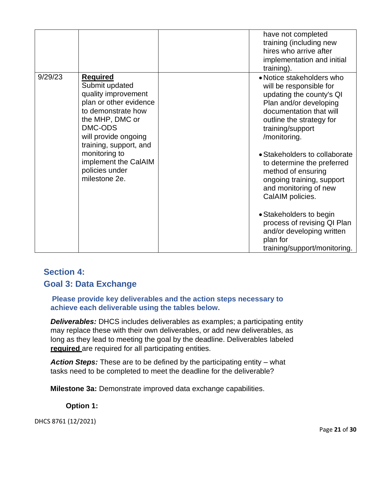|         |                                                                                                                                                                                                                                                                      | have not completed<br>training (including new<br>hires who arrive after<br>implementation and initial<br>training).                                                                                                                                                                                                                                                  |
|---------|----------------------------------------------------------------------------------------------------------------------------------------------------------------------------------------------------------------------------------------------------------------------|----------------------------------------------------------------------------------------------------------------------------------------------------------------------------------------------------------------------------------------------------------------------------------------------------------------------------------------------------------------------|
| 9/29/23 | <b>Required</b><br>Submit updated<br>quality improvement<br>plan or other evidence<br>to demonstrate how<br>the MHP, DMC or<br>DMC-ODS<br>will provide ongoing<br>training, support, and<br>monitoring to<br>implement the CalAIM<br>policies under<br>milestone 2e. | • Notice stakeholders who<br>will be responsible for<br>updating the county's QI<br>Plan and/or developing<br>documentation that will<br>outline the strategy for<br>training/support<br>/monitoring.<br>• Stakeholders to collaborate<br>to determine the preferred<br>method of ensuring<br>ongoing training, support<br>and monitoring of new<br>CalAIM policies. |
|         |                                                                                                                                                                                                                                                                      | • Stakeholders to begin<br>process of revising QI Plan<br>and/or developing written<br>plan for<br>training/support/monitoring.                                                                                                                                                                                                                                      |

## **Section 4:**

## **Goal 3: Data Exchange**

**Please provide key deliverables and the action steps necessary to achieve each deliverable using the tables below.**

*Deliverables:* DHCS includes deliverables as examples; a participating entity may replace these with their own deliverables, or add new deliverables, as long as they lead to meeting the goal by the deadline. Deliverables labeled **required** are required for all participating entities.

*Action Steps:* These are to be defined by the participating entity – what tasks need to be completed to meet the deadline for the deliverable?

**Milestone 3a:** Demonstrate improved data exchange capabilities.

**Option 1:**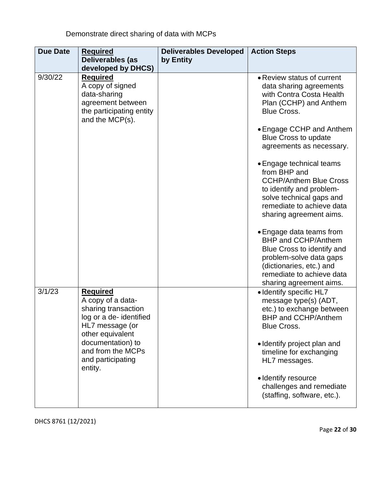Demonstrate direct sharing of data with MCPs

| <b>Due Date</b> | <b>Required</b><br>Deliverables (as<br>developed by DHCS)                                                                                                                                              | <b>Deliverables Developed</b><br>by Entity | <b>Action Steps</b>                                                                                                                                                                                                                                                                                                                                                                                                   |
|-----------------|--------------------------------------------------------------------------------------------------------------------------------------------------------------------------------------------------------|--------------------------------------------|-----------------------------------------------------------------------------------------------------------------------------------------------------------------------------------------------------------------------------------------------------------------------------------------------------------------------------------------------------------------------------------------------------------------------|
| 9/30/22         | <b>Required</b><br>A copy of signed<br>data-sharing<br>agreement between<br>the participating entity<br>and the MCP(s).                                                                                |                                            | • Review status of current<br>data sharing agreements<br>with Contra Costa Health<br>Plan (CCHP) and Anthem<br><b>Blue Cross.</b><br>• Engage CCHP and Anthem<br><b>Blue Cross to update</b><br>agreements as necessary.<br>• Engage technical teams<br>from BHP and<br><b>CCHP/Anthem Blue Cross</b><br>to identify and problem-<br>solve technical gaps and<br>remediate to achieve data<br>sharing agreement aims. |
|                 |                                                                                                                                                                                                        |                                            | • Engage data teams from<br><b>BHP and CCHP/Anthem</b><br>Blue Cross to identify and<br>problem-solve data gaps<br>(dictionaries, etc.) and<br>remediate to achieve data<br>sharing agreement aims.                                                                                                                                                                                                                   |
| 3/1/23          | <b>Required</b><br>A copy of a data-<br>sharing transaction<br>log or a de-identified<br>HL7 message (or<br>other equivalent<br>documentation) to<br>and from the MCPs<br>and participating<br>entity. |                                            | • Identify specific HL7<br>message type(s) (ADT,<br>etc.) to exchange between<br><b>BHP and CCHP/Anthem</b><br><b>Blue Cross.</b><br>• Identify project plan and<br>timeline for exchanging<br>HL7 messages.<br>• Identify resource<br>challenges and remediate<br>(staffing, software, etc.).                                                                                                                        |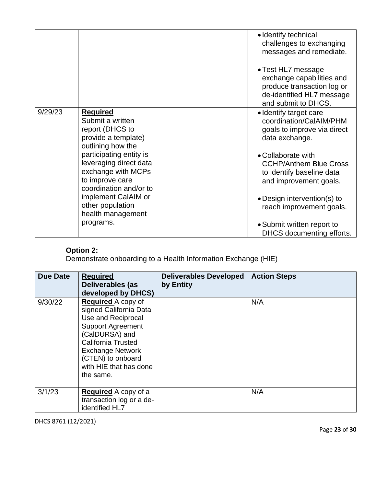|         |                                                                                                                      | • Identify technical<br>challenges to exchanging<br>messages and remediate.                                                       |
|---------|----------------------------------------------------------------------------------------------------------------------|-----------------------------------------------------------------------------------------------------------------------------------|
|         |                                                                                                                      | • Test HL7 message<br>exchange capabilities and<br>produce transaction log or<br>de-identified HL7 message<br>and submit to DHCS. |
| 9/29/23 | <b>Required</b><br>Submit a written<br>report (DHCS to<br>provide a template)<br>outlining how the                   | • Identify target care<br>coordination/CalAIM/PHM<br>goals to improve via direct<br>data exchange.                                |
|         | participating entity is<br>leveraging direct data<br>exchange with MCPs<br>to improve care<br>coordination and/or to | • Collaborate with<br><b>CCHP/Anthem Blue Cross</b><br>to identify baseline data<br>and improvement goals.                        |
|         | implement CalAIM or<br>other population<br>health management                                                         | • Design intervention(s) to<br>reach improvement goals.                                                                           |
|         | programs.                                                                                                            | • Submit written report to<br>DHCS documenting efforts.                                                                           |

# **Option 2:**

Demonstrate onboarding to a Health Information Exchange (HIE)

| <b>Due Date</b> | <b>Required</b><br>Deliverables (as<br>developed by DHCS)                                                                                                                                                                                   | <b>Deliverables Developed</b><br>by Entity | <b>Action Steps</b> |
|-----------------|---------------------------------------------------------------------------------------------------------------------------------------------------------------------------------------------------------------------------------------------|--------------------------------------------|---------------------|
| 9/30/22         | <b>Required A copy of</b><br>signed California Data<br>Use and Reciprocal<br><b>Support Agreement</b><br>(CalDURSA) and<br><b>California Trusted</b><br><b>Exchange Network</b><br>(CTEN) to onboard<br>with HIE that has done<br>the same. |                                            | N/A                 |
| 3/1/23          | <b>Required</b> A copy of a<br>transaction log or a de-<br>identified HL7                                                                                                                                                                   |                                            | N/A                 |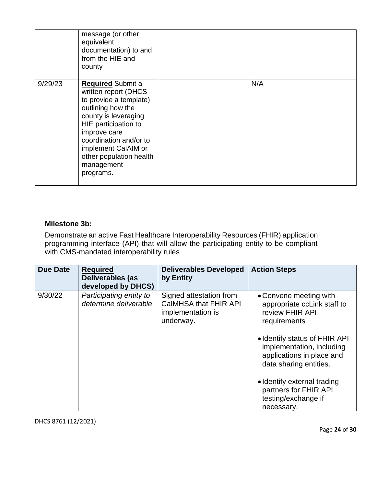|         | message (or other<br>equivalent<br>documentation) to and<br>from the HIE and<br>county                                                                                                                                                                                 |     |
|---------|------------------------------------------------------------------------------------------------------------------------------------------------------------------------------------------------------------------------------------------------------------------------|-----|
| 9/29/23 | <b>Required Submit a</b><br>written report (DHCS<br>to provide a template)<br>outlining how the<br>county is leveraging<br>HIE participation to<br>improve care<br>coordination and/or to<br>implement CalAIM or<br>other population health<br>management<br>programs. | N/A |

#### **Milestone 3b:**

Demonstrate an active Fast Healthcare Interoperability Resources (FHIR) application programming interface (API) that will allow the participating entity to be compliant with CMS-mandated interoperability rules

| <b>Due Date</b> | <b>Required</b><br>Deliverables (as<br>developed by DHCS) | <b>Deliverables Developed</b><br>by Entity                                                | <b>Action Steps</b>                                                                                                                                                                                                                                                                                        |
|-----------------|-----------------------------------------------------------|-------------------------------------------------------------------------------------------|------------------------------------------------------------------------------------------------------------------------------------------------------------------------------------------------------------------------------------------------------------------------------------------------------------|
| 9/30/22         | Participating entity to<br>determine deliverable          | Signed attestation from<br><b>CalMHSA that FHIR API</b><br>implementation is<br>underway. | • Convene meeting with<br>appropriate ccLink staff to<br>review FHIR API<br>requirements<br>• Identify status of FHIR API<br>implementation, including<br>applications in place and<br>data sharing entities.<br>• Identify external trading<br>partners for FHIR API<br>testing/exchange if<br>necessary. |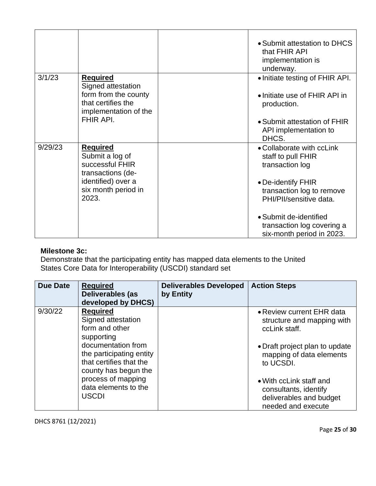|         |                                                                                                                                  | • Submit attestation to DHCS<br>that FHIR API<br>implementation is<br>underway.                                                                                                                                                       |
|---------|----------------------------------------------------------------------------------------------------------------------------------|---------------------------------------------------------------------------------------------------------------------------------------------------------------------------------------------------------------------------------------|
| 3/1/23  | <b>Required</b><br>Signed attestation<br>form from the county<br>that certifies the<br>implementation of the<br>FHIR API.        | • Initiate testing of FHIR API.<br>• Initiate use of FHIR API in<br>production.<br>• Submit attestation of FHIR<br>API implementation to<br>DHCS.                                                                                     |
| 9/29/23 | <b>Required</b><br>Submit a log of<br>successful FHIR<br>transactions (de-<br>identified) over a<br>six month period in<br>2023. | • Collaborate with ccLink<br>staff to pull FHIR<br>transaction log<br>• De-identify FHIR<br>transaction log to remove<br>PHI/PII/sensitive data.<br>• Submit de-identified<br>transaction log covering a<br>six-month period in 2023. |

## **Milestone 3c:**

Demonstrate that the participating entity has mapped data elements to the United States Core Data for Interoperability (USCDI) standard set

| <b>Due Date</b> | <b>Required</b><br>Deliverables (as<br>developed by DHCS)                                         | <b>Deliverables Developed</b><br>by Entity | <b>Action Steps</b>                                                                               |
|-----------------|---------------------------------------------------------------------------------------------------|--------------------------------------------|---------------------------------------------------------------------------------------------------|
| 9/30/22         | <b>Required</b><br>Signed attestation<br>form and other<br>supporting                             |                                            | • Review current EHR data<br>structure and mapping with<br>ccLink staff.                          |
|                 | documentation from<br>the participating entity<br>that certifies that the<br>county has begun the |                                            | • Draft project plan to update<br>mapping of data elements<br>to UCSDI.                           |
|                 | process of mapping<br>data elements to the<br><b>USCDI</b>                                        |                                            | • With ccLink staff and<br>consultants, identify<br>deliverables and budget<br>needed and execute |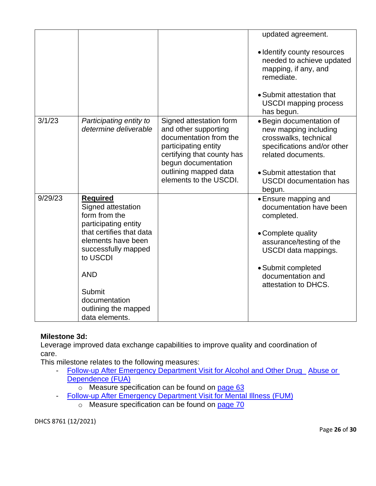|         |                                                                                   |                                                                                                                                                        | updated agreement.                                                                                                              |
|---------|-----------------------------------------------------------------------------------|--------------------------------------------------------------------------------------------------------------------------------------------------------|---------------------------------------------------------------------------------------------------------------------------------|
|         |                                                                                   |                                                                                                                                                        | • Identify county resources<br>needed to achieve updated<br>mapping, if any, and<br>remediate.                                  |
|         |                                                                                   |                                                                                                                                                        | • Submit attestation that<br><b>USCDI</b> mapping process<br>has begun.                                                         |
| 3/1/23  | Participating entity to<br>determine deliverable                                  | Signed attestation form<br>and other supporting<br>documentation from the<br>participating entity<br>certifying that county has<br>begun documentation | · Begin documentation of<br>new mapping including<br>crosswalks, technical<br>specifications and/or other<br>related documents. |
|         |                                                                                   | outlining mapped data<br>elements to the USCDI.                                                                                                        | • Submit attestation that<br><b>USCDI</b> documentation has<br>begun.                                                           |
| 9/29/23 | <b>Required</b><br>Signed attestation<br>form from the<br>participating entity    |                                                                                                                                                        | • Ensure mapping and<br>documentation have been<br>completed.                                                                   |
|         | that certifies that data<br>elements have been<br>successfully mapped<br>to USCDI |                                                                                                                                                        | • Complete quality<br>assurance/testing of the<br>USCDI data mappings.                                                          |
|         | <b>AND</b>                                                                        |                                                                                                                                                        | • Submit completed<br>documentation and<br>attestation to DHCS.                                                                 |
|         | Submit                                                                            |                                                                                                                                                        |                                                                                                                                 |
|         | documentation                                                                     |                                                                                                                                                        |                                                                                                                                 |
|         | outlining the mapped                                                              |                                                                                                                                                        |                                                                                                                                 |
|         | data elements.                                                                    |                                                                                                                                                        |                                                                                                                                 |

### **Milestone 3d:**

Leverage improved data exchange capabilities to improve quality and coordination of care.

This milestone relates to the following measures:

- Follow-up After Emergency Department Visit for Alcohol and Other Drug Abuse or Dependence (FUA)
	- $\circ$  Measure specification can be found on [page 63](https://www.medicaid.gov/medicaid/quality-of-care/downloads/medicaid-adult-core-set-manual.pdf?t=1635349811)
- [Follow-up After Emergency Department Visit for Mental Illness](https://www.ncqa.org/hedis/measures/follow-up-after-emergency-department-visit-for-mental-illness/) (FUM)
	- o Measure specification can be found on [page 70](https://www.medicaid.gov/medicaid/quality-of-care/downloads/medicaid-adult-core-set-manual.pdf?t=1635349811)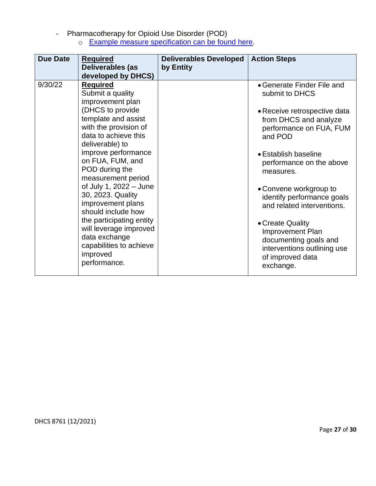- Pharmacotherapy for Opioid Use Disorder (POD) o [Example measure specification can be found](https://www.ncqa.org/wp-content/uploads/2020/12/20201201_Pharmacotherapy_for_Opioid_Use_Disorder_CQMC.pdf) here.

| <b>Due Date</b> | <b>Required</b>                     | <b>Deliverables Developed</b> | <b>Action Steps</b>                                      |
|-----------------|-------------------------------------|-------------------------------|----------------------------------------------------------|
|                 | Deliverables (as                    | by Entity                     |                                                          |
|                 | developed by DHCS)                  |                               |                                                          |
| 9/30/22         | <b>Required</b><br>Submit a quality |                               | • Generate Finder File and<br>submit to DHCS             |
|                 | improvement plan                    |                               |                                                          |
|                 | (DHCS to provide                    |                               | • Receive retrospective data                             |
|                 | template and assist                 |                               | from DHCS and analyze                                    |
|                 | with the provision of               |                               | performance on FUA, FUM                                  |
|                 | data to achieve this                |                               | and POD                                                  |
|                 | deliverable) to                     |                               |                                                          |
|                 | improve performance                 |                               | • Establish baseline                                     |
|                 | on FUA, FUM, and<br>POD during the  |                               | performance on the above                                 |
|                 | measurement period                  |                               | measures.                                                |
|                 | of July 1, 2022 - June              |                               |                                                          |
|                 | 30, 2023. Quality                   |                               | • Convene workgroup to                                   |
|                 | improvement plans                   |                               | identify performance goals<br>and related interventions. |
|                 | should include how                  |                               |                                                          |
|                 | the participating entity            |                               | • Create Quality                                         |
|                 | will leverage improved              |                               | Improvement Plan                                         |
|                 | data exchange                       |                               | documenting goals and                                    |
|                 | capabilities to achieve             |                               | interventions outlining use                              |
|                 | improved                            |                               | of improved data                                         |
|                 | performance.                        |                               | exchange.                                                |
|                 |                                     |                               |                                                          |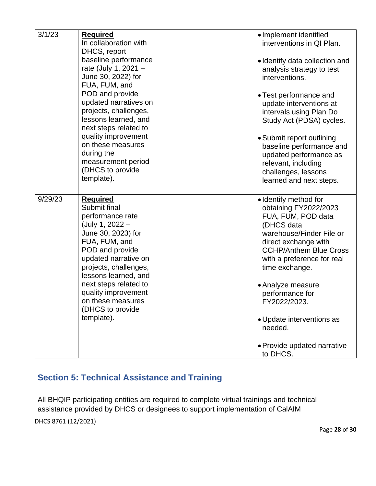| 3/1/23  | <b>Required</b><br>In collaboration with<br>DHCS, report<br>baseline performance<br>rate (July 1, 2021 -                                                                                                                                                  | · Implement identified<br>interventions in QI Plan.<br>• Identify data collection and<br>analysis strategy to test                                                                                                                                              |
|---------|-----------------------------------------------------------------------------------------------------------------------------------------------------------------------------------------------------------------------------------------------------------|-----------------------------------------------------------------------------------------------------------------------------------------------------------------------------------------------------------------------------------------------------------------|
|         | June 30, 2022) for<br>FUA, FUM, and                                                                                                                                                                                                                       | interventions.                                                                                                                                                                                                                                                  |
|         | POD and provide<br>updated narratives on<br>projects, challenges,<br>lessons learned, and<br>next steps related to                                                                                                                                        | • Test performance and<br>update interventions at<br>intervals using Plan Do<br>Study Act (PDSA) cycles.                                                                                                                                                        |
|         | quality improvement<br>on these measures<br>during the<br>measurement period<br>(DHCS to provide<br>template).                                                                                                                                            | • Submit report outlining<br>baseline performance and<br>updated performance as<br>relevant, including<br>challenges, lessons<br>learned and next steps.                                                                                                        |
| 9/29/23 | <b>Required</b><br>Submit final<br>performance rate<br>(July 1, 2022 -<br>June 30, 2023) for<br>FUA, FUM, and<br>POD and provide<br>updated narrative on<br>projects, challenges,<br>lessons learned, and<br>next steps related to<br>quality improvement | · Identify method for<br>obtaining FY2022/2023<br>FUA, FUM, POD data<br>(DHCS data<br>warehouse/Finder File or<br>direct exchange with<br><b>CCHP/Anthem Blue Cross</b><br>with a preference for real<br>time exchange.<br>• Analyze measure<br>performance for |
|         | on these measures<br>(DHCS to provide<br>template).                                                                                                                                                                                                       | FY2022/2023.<br>• Update interventions as<br>needed.<br>• Provide updated narrative                                                                                                                                                                             |
|         |                                                                                                                                                                                                                                                           | to DHCS.                                                                                                                                                                                                                                                        |

# **Section 5: Technical Assistance and Training**

All BHQIP participating entities are required to complete virtual trainings and technical assistance provided by DHCS or designees to support implementation of CalAIM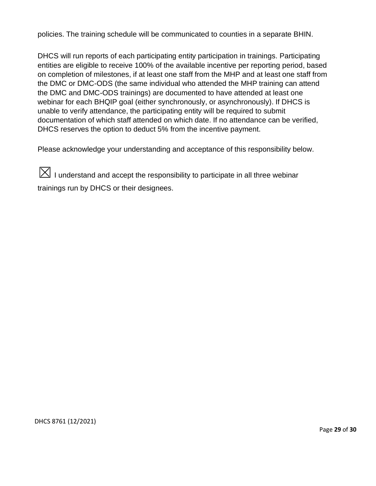policies. The training schedule will be communicated to counties in a separate BHIN.

DHCS will run reports of each participating entity participation in trainings. Participating entities are eligible to receive 100% of the available incentive per reporting period, based on completion of milestones, if at least one staff from the MHP and at least one staff from the DMC or DMC-ODS (the same individual who attended the MHP training can attend the DMC and DMC-ODS trainings) are documented to have attended at least one webinar for each BHQIP goal (either synchronously, or asynchronously). If DHCS is unable to verify attendance, the participating entity will be required to submit documentation of which staff attended on which date. If no attendance can be verified, DHCS reserves the option to deduct 5% from the incentive payment.

Please acknowledge your understanding and acceptance of this responsibility below.

 $\boxtimes$  I understand and accept the responsibility to participate in all three webinar trainings run by DHCS or their designees.